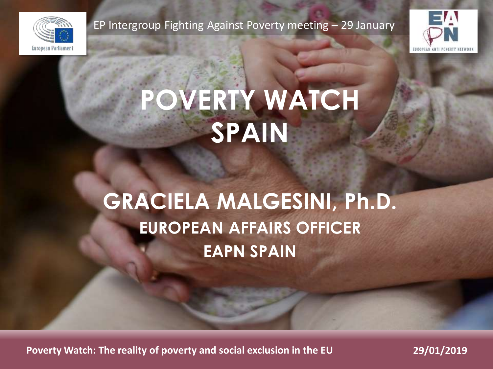

EP Intergroup Fighting Against Poverty meeting – 29 January



# **POVERTY WATCH SPAIN**

## **GRACIELA MALGESINI, Ph.D. EUROPEAN AFFAIRS OFFICER EAPN SPAIN**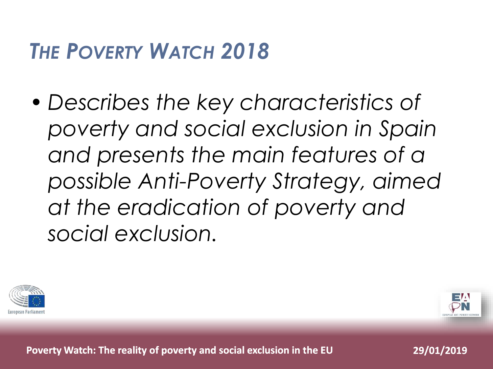### *THE POVERTY WATCH 2018*

• *Describes the key characteristics of poverty and social exclusion in Spain and presents the main features of a possible Anti-Poverty Strategy, aimed at the eradication of poverty and social exclusion.* 



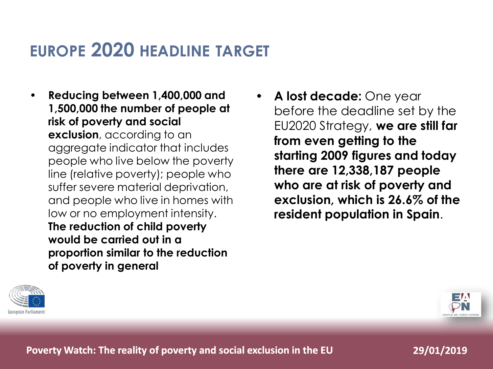### **EUROPE 2020 HEADLINE TARGET**

- **Reducing between 1,400,000 and 1,500,000 the number of people at risk of poverty and social exclusion**, according to an aggregate indicator that includes people who live below the poverty line (relative poverty); people who suffer severe material deprivation, and people who live in homes with low or no employment intensity. **The reduction of child poverty would be carried out in a proportion similar to the reduction of poverty in general**
- **A lost decade:** One year before the deadline set by the EU2020 Strategy, **we are still far from even getting to the starting 2009 figures and today there are 12,338,187 people who are at risk of poverty and exclusion, which is 26.6% of the resident population in Spain**.



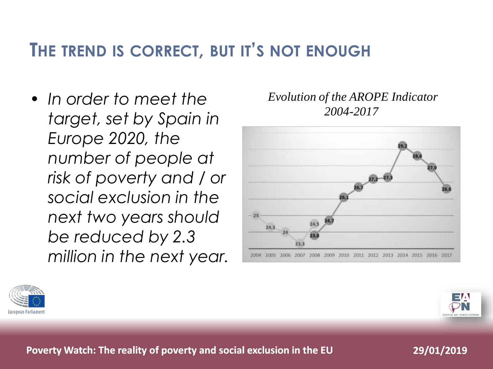### **THE TREND IS CORRECT, BUT IT'S NOT ENOUGH**

• *In order to meet the target, set by Spain in Europe 2020, the number of people at risk of poverty and / or social exclusion in the next two years should be reduced by 2.3 million in the next year.* *Evolution of the AROPE Indicator 2004-2017*





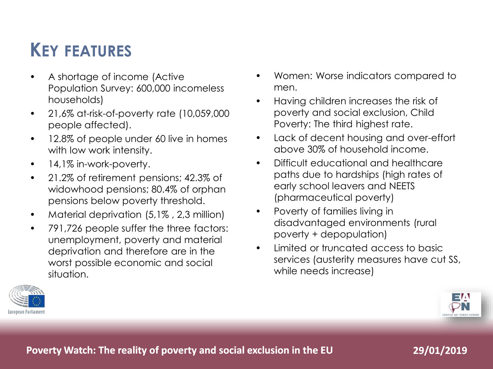### **KEY FEATURES**

- A shortage of income (Active Population Survey: 600,000 incomeless households)
- 21,6% at-risk-of-poverty rate (10,059,000 people affected).
- 12.8% of people under 60 live in homes with low work intensity.
- 14,1% in-work-poverty.
- 21.2% of retirement pensions; 42.3% of widowhood pensions; 80.4% of orphan pensions below poverty threshold.
- Material deprivation (5,1%, 2,3 million)
- 791,726 people suffer the three factors: unemployment, poverty and material deprivation and therefore are in the worst possible economic and social situation.
- Women: Worse indicators compared to men.
- Having children increases the risk of poverty and social exclusion, Child Poverty: The third highest rate.
- Lack of decent housing and over-effort above 30% of household income.
- Difficult educational and healthcare paths due to hardships (high rates of early school leavers and NEETS (pharmaceutical poverty)
- Poverty of families living in disadvantaged environments (rural poverty + depopulation)
- Limited or truncated access to basic services (austerity measures have cut SS, while needs increase)



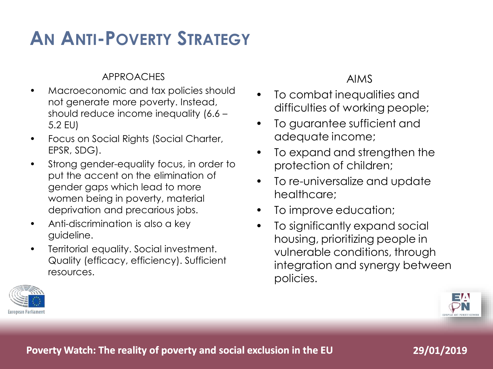### **AN ANTI-POVERTY STRATEGY**

#### APPROACHES

- Macroeconomic and tax policies should not generate more poverty. Instead, should reduce income inequality (6.6 – 5.2 EU)
- Focus on Social Rights (Social Charter, EPSR, SDG).
- Strong gender-equality focus, in order to put the accent on the elimination of gender gaps which lead to more women being in poverty, material deprivation and precarious jobs.
- Anti-discrimination is also a key guideline.
- Territorial equality. Social investment. Quality (efficacy, efficiency). Sufficient resources.

#### AIMS

- To combat inequalities and difficulties of working people;
- To guarantee sufficient and adequate income;
- To expand and strengthen the protection of children;
- To re-universalize and update healthcare;
- To improve education;
- To significantly expand social housing, prioritizing people in vulnerable conditions, through integration and synergy between policies.